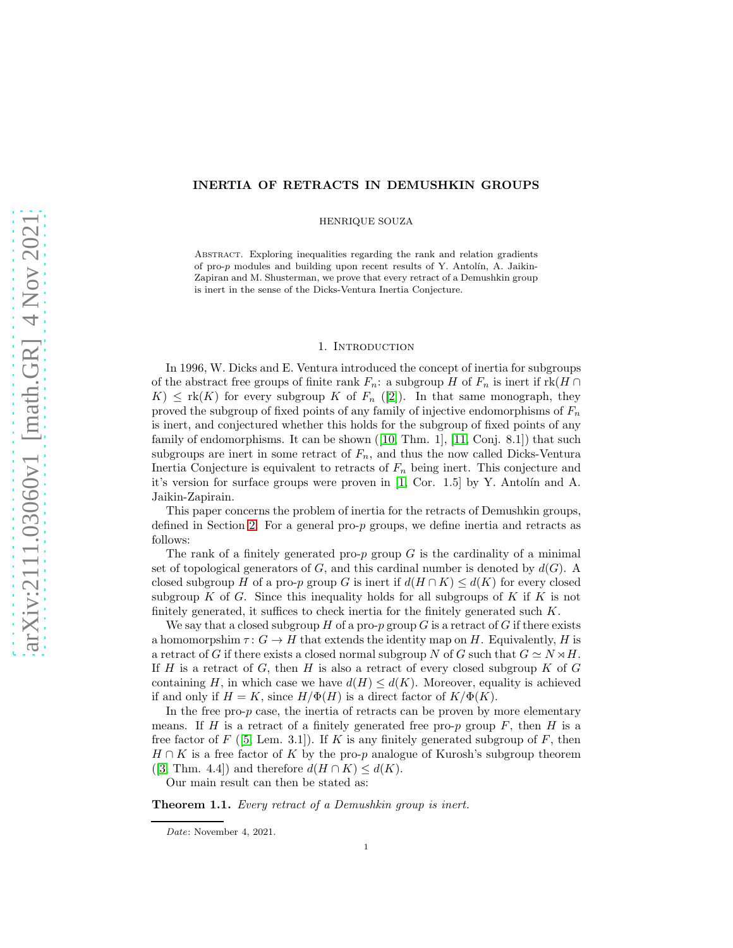# INERTIA OF RETRACTS IN DEMUSHKIN GROUPS

HENRIQUE SOUZA

Abstract. Exploring inequalities regarding the rank and relation gradients of pro- $p$  modules and building upon recent results of Y. Antolín, A. Jaikin-Zapiran and M. Shusterman, we prove that every retract of a Demushkin group is inert in the sense of the Dicks-Ventura Inertia Conjecture.

### 1. INTRODUCTION

In 1996, W. Dicks and E. Ventura introduced the concept of inertia for subgroups of the abstract free groups of finite rank  $F_n$ : a subgroup H of  $F_n$  is inert if  $rk(H \cap$  $K \leq \text{rk}(K)$  for every subgroup K of  $F_n$  ([\[2\]](#page-6-0)). In that same monograph, they proved the subgroup of fixed points of any family of injective endomorphisms of  $F_n$ is inert, and conjectured whether this holds for the subgroup of fixed points of any family of endomorphisms. It can be shown  $([10, Thm. 1], [11, Conj. 8.1])$  $([10, Thm. 1], [11, Conj. 8.1])$  $([10, Thm. 1], [11, Conj. 8.1])$  $([10, Thm. 1], [11, Conj. 8.1])$  $([10, Thm. 1], [11, Conj. 8.1])$  that such subgroups are inert in some retract of  $F_n$ , and thus the now called Dicks-Ventura Inertia Conjecture is equivalent to retracts of  $F_n$  being inert. This conjecture and it's version for surface groups were proven in  $[1, \text{Cor. } 1.5]$  by Y. Antolín and A. Jaikin-Zapirain.

This paper concerns the problem of inertia for the retracts of Demushkin groups, defined in Section [2.](#page-1-0) For a general pro- $p$  groups, we define inertia and retracts as follows:

The rank of a finitely generated pro- $p$  group  $G$  is the cardinality of a minimal set of topological generators of G, and this cardinal number is denoted by  $d(G)$ . A closed subgroup H of a pro-p group G is inert if  $d(H \cap K) \leq d(K)$  for every closed subgroup K of G. Since this inequality holds for all subgroups of K if K is not finitely generated, it suffices to check inertia for the finitely generated such  $K$ .

We say that a closed subgroup  $H$  of a pro-p group G is a retract of G if there exists a homomorpshim  $\tau: G \to H$  that extends the identity map on H. Equivalently, H is a retract of G if there exists a closed normal subgroup N of G such that  $G \simeq N \rtimes H$ . If H is a retract of G, then H is also a retract of every closed subgroup K of G containing H, in which case we have  $d(H) \leq d(K)$ . Moreover, equality is achieved if and only if  $H = K$ , since  $H/\Phi(H)$  is a direct factor of  $K/\Phi(K)$ .

In the free pro- $p$  case, the inertia of retracts can be proven by more elementary means. If H is a retract of a finitely generated free pro-p group  $F$ , then H is a free factor of F ([\[5,](#page-6-4) Lem. 3.1]). If K is any finitely generated subgroup of F, then  $H \cap K$  is a free factor of K by the pro-p analogue of Kurosh's subgroup theorem ([\[3,](#page-6-5) Thm. 4.4]) and therefore  $d(H \cap K) \leq d(K)$ .

Our main result can then be stated as:

<span id="page-0-0"></span>Theorem 1.1. *Every retract of a Demushkin group is inert.*

Date: November 4, 2021.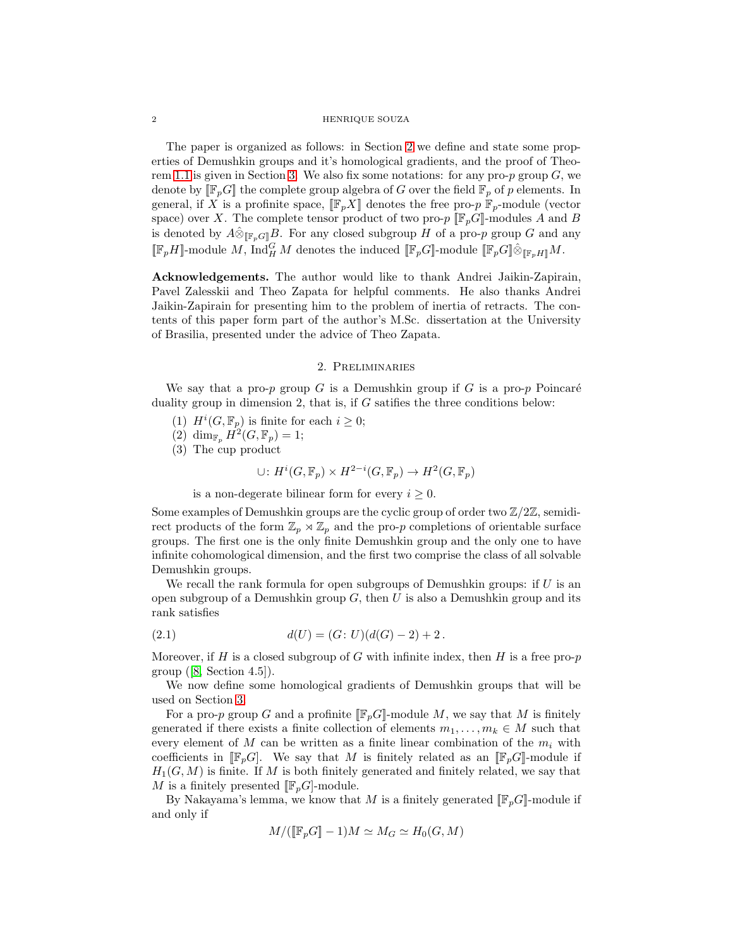### 2 HENRIQUE SOUZA

The paper is organized as follows: in Section [2](#page-1-0) we define and state some properties of Demushkin groups and it's homological gradients, and the proof of Theo-rem [1.1](#page-0-0) is given in Section [3.](#page-3-0) We also fix some notations: for any pro- $p$  group  $G$ , we denote by  $[\![\mathbb{F}_p G]\!]$  the complete group algebra of G over the field  $\mathbb{F}_p$  of p elements. In general, if X is a profinite space,  $[\mathbb{F}_p X]$  denotes the free pro-p  $\mathbb{F}_p$ -module (vector space) over X. The complete tensor product of two pro- $p \llbracket \mathbb{F}_p G \rrbracket$ -modules A and B is denoted by  $\hat{A} \hat{\otimes}_{[\![\mathbb{F}_p G]\!]} B$ . For any closed subgroup H of a pro-p group G and any  $[\![\mathbb{F}_p H]\!]$ -module M,  $\text{Ind}_{H}^{G} M$  denotes the induced  $[\![\mathbb{F}_p G]\!]$ -module  $[\![\mathbb{F}_p G]\!] \hat{\otimes}_{[\![\mathbb{F}_p H]\!]} M$ .

Acknowledgements. The author would like to thank Andrei Jaikin-Zapirain, Pavel Zalesskii and Theo Zapata for helpful comments. He also thanks Andrei Jaikin-Zapirain for presenting him to the problem of inertia of retracts. The contents of this paper form part of the author's M.Sc. dissertation at the University of Brasilia, presented under the advice of Theo Zapata.

## 2. Preliminaries

<span id="page-1-0"></span>We say that a pro-p group G is a Demushkin group if G is a pro-p Poincaré duality group in dimension 2, that is, if  $G$  satifies the three conditions below:

- (1)  $H^i(G, \mathbb{F}_p)$  is finite for each  $i \geq 0$ ;
- (2)  $\dim_{\mathbb{F}_p} H^2(G, \mathbb{F}_p) = 1;$
- (3) The cup product

$$
\cup: H^i(G, \mathbb{F}_p) \times H^{2-i}(G, \mathbb{F}_p) \to H^2(G, \mathbb{F}_p)
$$

is a non-degerate bilinear form for every  $i \geq 0$ .

Some examples of Demushkin groups are the cyclic group of order two  $\mathbb{Z}/2\mathbb{Z}$ , semidirect products of the form  $\mathbb{Z}_p \rtimes \mathbb{Z}_p$  and the pro-p completions of orientable surface groups. The first one is the only finite Demushkin group and the only one to have infinite cohomological dimension, and the first two comprise the class of all solvable Demushkin groups.

We recall the rank formula for open subgroups of Demushkin groups: if  $U$  is an open subgroup of a Demushkin group  $G$ , then U is also a Demushkin group and its rank satisfies

<span id="page-1-1"></span>(2.1) 
$$
d(U) = (G: U)(d(G) - 2) + 2.
$$

Moreover, if H is a closed subgroup of G with infinite index, then H is a free pro- $p$ group  $([8, Section 4.5]).$  $([8, Section 4.5]).$  $([8, Section 4.5]).$ 

We now define some homological gradients of Demushkin groups that will be used on Section [3.](#page-3-0)

For a pro-p group G and a profinite  $[\![\mathbb{F}_p G]\!]$ -module M, we say that M is finitely generated if there exists a finite collection of elements  $m_1, \ldots, m_k \in M$  such that every element of  $M$  can be written as a finite linear combination of the  $m_i$  with coefficients in  $[\mathbb{F}_pG]$ . We say that M is finitely related as an  $[\mathbb{F}_pG]$ -module if  $H_1(G, M)$  is finite. If M is both finitely generated and finitely related, we say that M is a finitely presented  $[\mathbb{F}_n G]$ -module.

By Nakayama's lemma, we know that M is a finitely generated  $[\![\mathbb{F}_pG]\!]$ -module if and only if

$$
M/([\![\mathbb{F}_p G]\!] - 1)M \simeq M_G \simeq H_0(G, M)
$$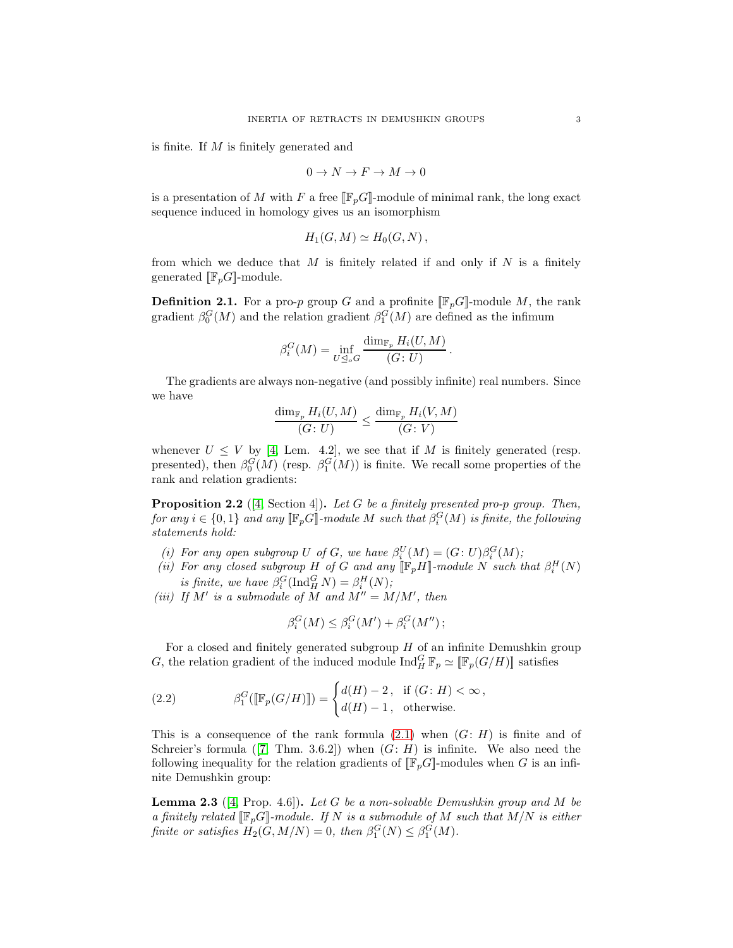is finite. If M is finitely generated and

$$
0\to N\to F\to M\to 0
$$

is a presentation of M with F a free  $[\![\mathbb{F}_p G]\!]$ -module of minimal rank, the long exact sequence induced in homology gives us an isomorphism

$$
H_1(G,M)\simeq H_0(G,N)\,,
$$

from which we deduce that  $M$  is finitely related if and only if  $N$  is a finitely generated  $[\![\mathbb{F}_p G]\!]$ -module.

**Definition 2.1.** For a pro-p group G and a profinite  $[\![\mathbb{F}_p G]\!]$ -module M, the rank gradient  $\beta_0^G(M)$  and the relation gradient  $\beta_1^G(M)$  are defined as the infimum

$$
\beta_i^G(M) = \inf_{U \trianglelefteq_o G} \frac{\dim_{\mathbb{F}_p} H_i(U, M)}{(G: U)}
$$

.

The gradients are always non-negative (and possibly infinite) real numbers. Since we have

$$
\frac{\dim_{\mathbb{F}_p}H_i(U,M)}{(G\colon U)}\leq \frac{\dim_{\mathbb{F}_p}H_i(V,M)}{(G\colon V)}
$$

whenever  $U \leq V$  by [\[4,](#page-6-7) Lem. 4.2], we see that if M is finitely generated (resp. presented), then  $\beta_0^G(M)$  (resp.  $\beta_1^G(M)$ ) is finite. We recall some properties of the rank and relation gradients:

<span id="page-2-2"></span>Proposition 2.2 ([\[4,](#page-6-7) Section 4]). *Let* G *be a finitely presented pro-*p *group. Then,*  $for\ any\ i\in\{0,1\}\ and\ any\ [\![\mathbb{F}_p G]\!]$ -module  $M$  such that  $\beta_i^G(M)$  is finite, the following *statements hold:*

- (*i*) For any open subgroup U of G, we have  $\beta_i^U(M) = (G: U)\beta_i^G(M)$ ;
- (*ii*) For any closed subgroup H of G and any  $[\![\mathbb{F}_p H]\!]$ -module N such that  $\beta_i^H(N)$ *is finite, we have*  $\beta_i^G(\text{Ind}_H^G N) = \beta_i^H(N)$ ;

(*iii*) If  $M'$  is a submodule of  $M$  and  $M'' = M/M'$ , then

$$
\beta_i^G(M) \le \beta_i^G(M') + \beta_i^G(M'');
$$

For a closed and finitely generated subgroup  $H$  of an infinite Demushkin group G, the relation gradient of the induced module  $\text{Ind}_{H}^{G} \mathbb{F}_{p} \simeq [\mathbb{F}_{p}(G/H)]$  satisfies

<span id="page-2-0"></span>(2.2) 
$$
\beta_1^G([\mathbb{F}_p(G/H)]) = \begin{cases} d(H) - 2, & \text{if } (G: H) < \infty, \\ d(H) - 1, & \text{otherwise.} \end{cases}
$$

This is a consequence of the rank formula  $(2.1)$  when  $(G: H)$  is finite and of Schreier's formula  $(7, Thm. 3.6.2)$  when  $(G: H)$  is infinite. We also need the following inequality for the relation gradients of  $[\![\mathbb{F}_pG]\!]$ -modules when G is an infinite Demushkin group:

<span id="page-2-1"></span>Lemma 2.3 ([\[4,](#page-6-7) Prop. 4.6]). *Let* G *be a non-solvable Demushkin group and* M *be a finitely related*  $[\mathbb{F}_p G]$ *-module. If* N *is a submodule of* M *such that*  $M/N$  *is either finite or satisfies*  $H_2(G, M/N) = 0$ , then  $\beta_1^G(N) \leq \beta_1^G(M)$ .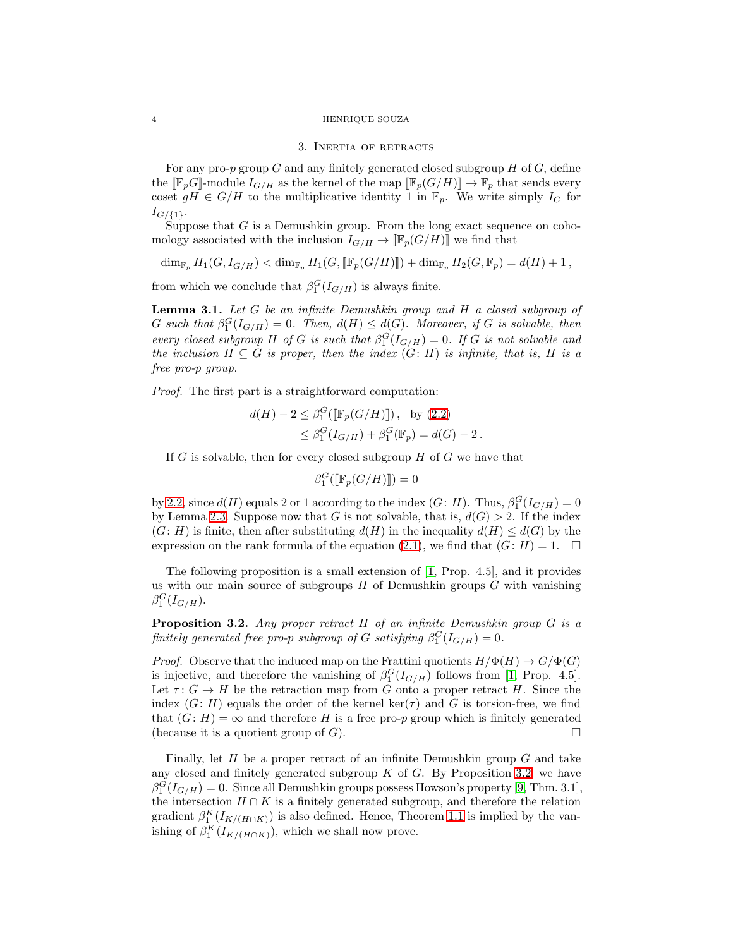#### <span id="page-3-0"></span>4 HENRIQUE SOUZA

## 3. Inertia of retracts

For any pro- $p$  group  $G$  and any finitely generated closed subgroup  $H$  of  $G$ , define the  $[\![\mathbb{F}_pG]\!]$ -module  $I_{G/H}$  as the kernel of the map  $[\![\mathbb{F}_p(G/H)]\!] \to \mathbb{F}_p$  that sends every coset  $gH \in G/H$  to the multiplicative identity 1 in  $\mathbb{F}_p$ . We write simply  $I_G$  for  $I_{G/\{1\}}.$ 

Suppose that  $G$  is a Demushkin group. From the long exact sequence on cohomology associated with the inclusion  $I_{G/H} \to [\![\mathbb{F}_p(G/H)]\!]$  we find that

 $\dim_{\mathbb{F}_p} H_1(G, I_{G/H}) < \dim_{\mathbb{F}_p} H_1(G, [\![\mathbb{F}_p(G/H)]\!]) + \dim_{\mathbb{F}_p} H_2(G, \mathbb{F}_p) = d(H) + 1,$ 

from which we conclude that  $\beta_1^G(I_{G/H})$  is always finite.

<span id="page-3-2"></span>Lemma 3.1. *Let* G *be an infinite Demushkin group and* H *a closed subgroup of* G such that  $\beta_1^G(I_{G/H}) = 0$ . Then,  $d(H) \leq d(G)$ . Moreover, if G is solvable, then *every closed subgroup* H *of* G *is such that*  $\beta_1^G(I_{G/H}) = 0$ . If G *is not solvable and the inclusion*  $H \subseteq G$  *is proper, then the index*  $(G: H)$  *is infinite, that is,* H *is a free pro-*p *group.*

*Proof.* The first part is a straightforward computation:

$$
d(H) - 2 \le \beta_1^G([\mathbb{F}_p(G/H)]]), \text{ by (2.2)}
$$
  
 
$$
\le \beta_1^G(I_{G/H}) + \beta_1^G(\mathbb{F}_p) = d(G) - 2.
$$

If G is solvable, then for every closed subgroup  $H$  of G we have that

$$
\beta_1^G(\llbracket \mathbb{F}_p(G/H) \rrbracket) = 0
$$

by [2.2,](#page-2-0) since  $d(H)$  equals 2 or 1 according to the index  $(G: H)$ . Thus,  $\beta_1^G(I_{G/H}) = 0$ by Lemma [2.3.](#page-2-1) Suppose now that G is not solvable, that is,  $d(G) > 2$ . If the index  $(G: H)$  is finite, then after substituting  $d(H)$  in the inequality  $d(H) \leq d(G)$  by the expression on the rank formula of the equation [\(2.1\)](#page-1-1), we find that  $(G: H) = 1$ .

The following proposition is a small extension of [\[1,](#page-6-3) Prop. 4.5], and it provides us with our main source of subgroups  $H$  of Demushkin groups  $G$  with vanishing  $\beta_1^G(I_{G/H}).$ 

<span id="page-3-1"></span>Proposition 3.2. *Any proper retract* H *of an infinite Demushkin group* G *is a finitely generated free pro-p subgroup of*  $G$  *satisfying*  $\beta_1^G(I_{G/H}) = 0$ .

*Proof.* Observe that the induced map on the Frattini quotients  $H/\Phi(H) \to G/\Phi(G)$ is injective, and therefore the vanishing of  $\beta_1^G(I_{G/H})$  follows from [\[1,](#page-6-3) Prop. 4.5]. Let  $\tau: G \to H$  be the retraction map from G onto a proper retract H. Since the index  $(G: H)$  equals the order of the kernel ker( $\tau$ ) and G is torsion-free, we find that  $(G: H) = \infty$  and therefore H is a free pro-p group which is finitely generated (because it is a quotient group of  $G$ ).

Finally, let  $H$  be a proper retract of an infinite Demushkin group  $G$  and take any closed and finitely generated subgroup  $K$  of  $G$ . By Proposition [3.2,](#page-3-1) we have  $\beta_1^G(I_{G/H}) = 0$ . Since all Demushkin groups possess Howson's property [\[9,](#page-6-9) Thm. 3.1], the intersection  $H \cap K$  is a finitely generated subgroup, and therefore the relation gradient  $\beta_1^K(I_{K/(H\cap K)})$  is also defined. Hence, Theorem [1.1](#page-0-0) is implied by the vanishing of  $\beta_1^K(I_{K/(H\cap K)})$ , which we shall now prove.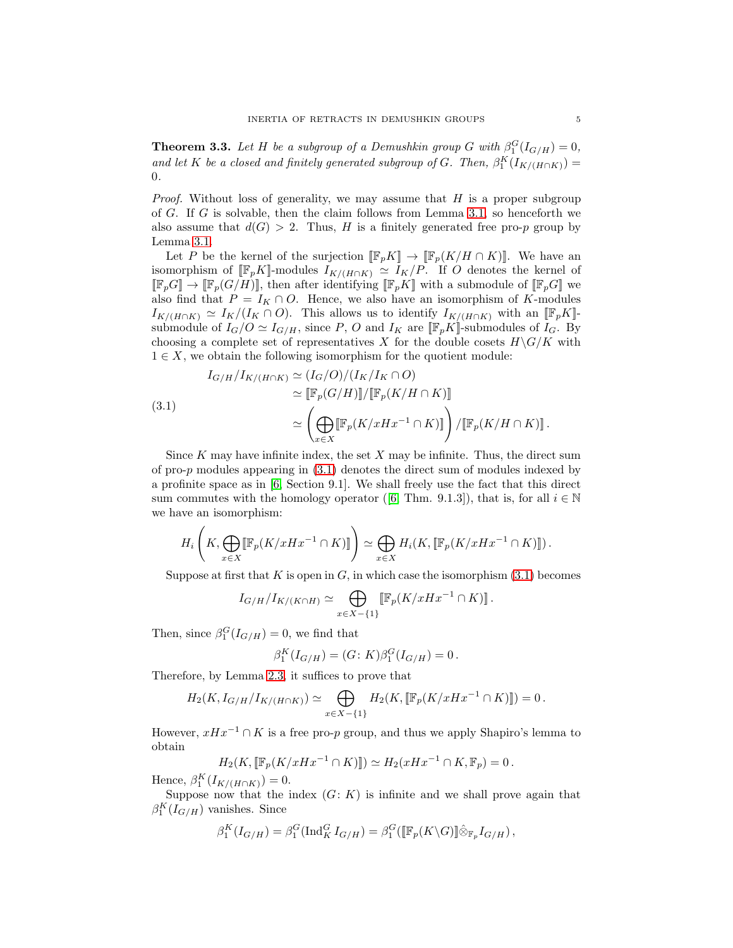<span id="page-4-1"></span>**Theorem 3.3.** Let H be a subgroup of a Demushkin group G with  $\beta_1^G(I_{G/H}) = 0$ , *and let* K *be a closed and finitely generated subgroup of G. Then,*  $\beta_1^K(I_{K/(H \cap K)})$  = 0*.*

*Proof.* Without loss of generality, we may assume that H is a proper subgroup of G. If G is solvable, then the claim follows from Lemma [3.1,](#page-3-2) so henceforth we also assume that  $d(G) > 2$ . Thus, H is a finitely generated free pro-p group by Lemma [3.1.](#page-3-2)

Let P be the kernel of the surjection  $[\mathbb{F}_pK] \to [\mathbb{F}_p(K/H \cap K)]$ . We have an isomorphism of  $[\![\mathbb{F}_pK]\!]$ -modules  $I_{K/(H\cap K)} \simeq I_K/P$ . If O denotes the kernel of  $[\![\mathbb{F}_pG]\!] \to [\![\mathbb{F}_p(G/H)]\!]$ , then after identifying  $[\![\mathbb{F}_pK]\!]$  with a submodule of  $[\![\mathbb{F}_pG]\!]$  we also find that  $P = I_K \cap O$ . Hence, we also have an isomorphism of K-modules  $I_{K/(H\cap K)} \simeq I_K/(I_K \cap O)$ . This allows us to identify  $I_{K/(H\cap K)}$  with an  $[\mathbb{F}_pK]$ submodule of  $I_G/O \simeq I_{G/H}$ , since P, O and  $I_K$  are  $[\![\mathbb{F}_pK]\!]$ -submodules of  $I_G$ . By choosing a complete set of representatives X for the double cosets  $H\backslash G/K$  with  $1 \in X$ , we obtain the following isomorphism for the quotient module:

<span id="page-4-0"></span>(3.1)  
\n
$$
I_{G/H}/I_{K/(H\cap K)} \simeq (I_G/O)/(I_K/I_K \cap O)
$$
\n
$$
\simeq [\mathbb{F}_p(G/H)][\mathbb{F}_p(K/H \cap K)]
$$
\n
$$
\simeq \left(\bigoplus_{x \in X} [\mathbb{F}_p(K/xHx^{-1} \cap K)]\right) / [\mathbb{F}_p(K/H \cap K)] \, .
$$

Since  $K$  may have infinite index, the set  $X$  may be infinite. Thus, the direct sum of pro-p modules appearing in [\(3.1\)](#page-4-0) denotes the direct sum of modules indexed by a profinite space as in [\[6,](#page-6-10) Section 9.1]. We shall freely use the fact that this direct sum commutes with the homology operator ([\[6,](#page-6-10) Thm. 9.1.3]), that is, for all  $i \in \mathbb{N}$ we have an isomorphism:

$$
H_i\left(K,\bigoplus_{x\in X} [\![\mathbb{F}_p(K/xHx^{-1}\cap K)]\!]\right)\simeq \bigoplus_{x\in X} H_i(K,[\![\mathbb{F}_p(K/xHx^{-1}\cap K)]\!])\,.
$$

Suppose at first that K is open in G, in which case the isomorphism  $(3.1)$  becomes

$$
I_{G/H}/I_{K/(K\cap H)} \simeq \bigoplus_{x\in X-\{1\}} \llbracket \mathbb{F}_p(K/xHx^{-1}\cap K) \rrbracket.
$$

Then, since  $\beta_1^G(I_{G/H})=0$ , we find that

$$
\beta_1^K(I_{G/H}) = (G:K)\beta_1^G(I_{G/H}) = 0.
$$

Therefore, by Lemma [2.3,](#page-2-1) it suffices to prove that

$$
H_2(K, I_{G/H}/I_{K/(H\cap K)}) \simeq \bigoplus_{x \in X - \{1\}} H_2(K, [\![\mathbb{F}_p(K/xHx^{-1}\cap K)]\!]) = 0.
$$

However,  $xHx^{-1} \cap K$  is a free pro-p group, and thus we apply Shapiro's lemma to obtain

$$
H_2(K, \left[\mathbb{F}_p(K/xHx^{-1} \cap K)\right]) \simeq H_2(xHx^{-1} \cap K, \mathbb{F}_p) = 0.
$$

Hence,  $\beta_1^K(I_{K/(H \cap K)}) = 0.$ 

Suppose now that the index  $(G: K)$  is infinite and we shall prove again that  $\beta_1^K(I_{G/H})$  vanishes. Since

$$
\beta_1^K(I_{G/H}) = \beta_1^G(\text{Ind}_{K}^G I_{G/H}) = \beta_1^G([\mathbb{F}_p(K\backslash G)]\hat{\otimes}_{\mathbb{F}_p}I_{G/H}),
$$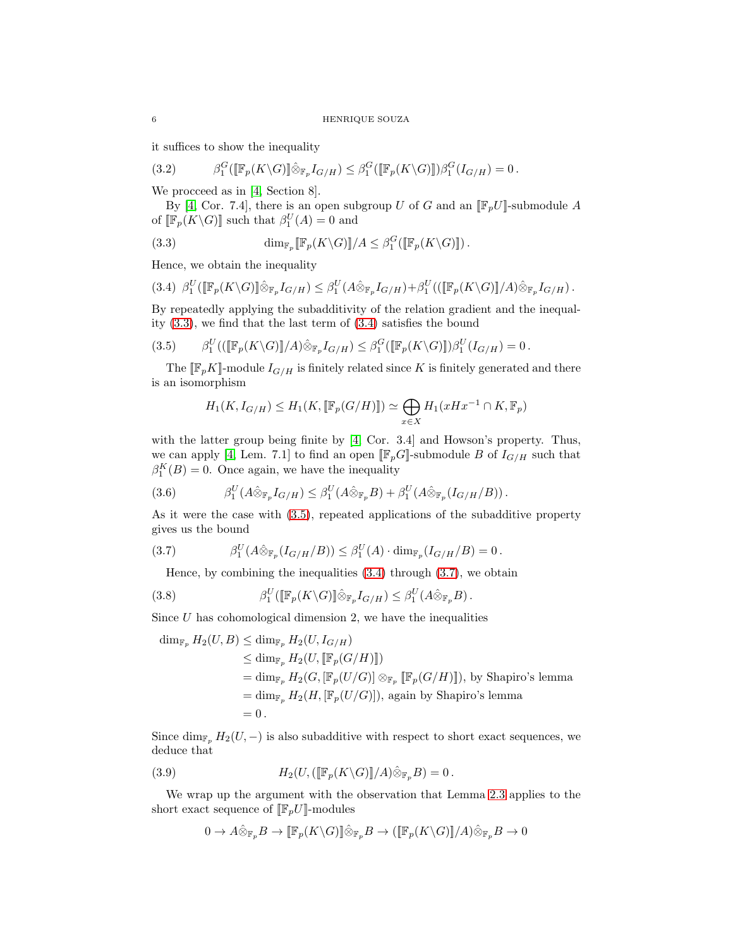it suffices to show the inequality

<span id="page-5-5"></span>
$$
(3.2) \qquad \beta_1^G([\mathbb{F}_p(K\backslash G)]\hat{\otimes}_{\mathbb{F}_p}I_{G/H}) \leq \beta_1^G([\mathbb{F}_p(K\backslash G)])\beta_1^G(I_{G/H}) = 0.
$$

We procceed as in [\[4,](#page-6-7) Section 8].

By [\[4,](#page-6-7) Cor. 7.4], there is an open subgroup U of G and an  $[\![\mathbb{F}_p U]\!]$ -submodule A of  $[\mathbb{F}_p(K\backslash G)]$  such that  $\beta_1^U(A) = 0$  and

<span id="page-5-0"></span>(3.3) 
$$
\dim_{\mathbb{F}_p}[\mathbb{F}_p(K\backslash G)]/A \leq \beta_1^G([\mathbb{F}_p(K\backslash G)]].
$$

Hence, we obtain the inequality

<span id="page-5-1"></span>
$$
(3.4) \ \beta_1^U(\llbracket \mathbb{F}_p(K\setminus G)\rrbracket \hat{\otimes}_{\mathbb{F}_p} I_{G/H}) \leq \beta_1^U(A\hat{\otimes}_{\mathbb{F}_p} I_{G/H}) + \beta_1^U((\llbracket \mathbb{F}_p(K\setminus G)\rrbracket/A)\hat{\otimes}_{\mathbb{F}_p} I_{G/H}).
$$

By repeatedly applying the subadditivity of the relation gradient and the inequality [\(3.3\)](#page-5-0), we find that the last term of [\(3.4\)](#page-5-1) satisfies the bound

<span id="page-5-2"></span>
$$
(3.5) \qquad \beta_1^U((\llbracket \mathbb{F}_p(K\setminus G)\rrbracket/A)\hat{\otimes}_{\mathbb{F}_p}I_{G/H}) \leq \beta_1^G(\llbracket \mathbb{F}_p(K\setminus G)\rrbracket)\beta_1^U(I_{G/H}) = 0.
$$

The  $[\![\mathbb{F}_pK]\!]$ -module  $I_{G/H}$  is finitely related since K is finitely generated and there is an isomorphism

$$
H_1(K, I_{G/H}) \le H_1(K, \left[ \mathbb{F}_p(G/H) \right]) \simeq \bigoplus_{x \in X} H_1(xHx^{-1} \cap K, \mathbb{F}_p)
$$

with the latter group being finite by [\[4,](#page-6-7) Cor. 3.4] and Howson's property. Thus, we can apply [\[4,](#page-6-7) Lem. 7.1] to find an open  $[\![\mathbb{F}_p G]\!]$ -submodule B of  $I_{G/H}$  such that  $\beta_1^K(B) = 0$ . Once again, we have the inequality

<span id="page-5-6"></span>(3.6) 
$$
\beta_1^U(A\hat{\otimes}_{\mathbb{F}_p}I_{G/H}) \leq \beta_1^U(A\hat{\otimes}_{\mathbb{F}_p}B) + \beta_1^U(A\hat{\otimes}_{\mathbb{F}_p}I_{G/H}/B)).
$$

As it were the case with [\(3.5\)](#page-5-2), repeated applications of the subadditive property gives us the bound

$$
(3.7) \t\t\t\t\t\beta_1^U(A\hat{\otimes}_{\mathbb{F}_p}(I_{G/H}/B)) \leq \beta_1^U(A) \cdot \dim_{\mathbb{F}_p}(I_{G/H}/B) = 0.
$$

<span id="page-5-3"></span>Hence, by combining the inequalities  $(3.4)$  through  $(3.7)$ , we obtain

(3.8) 
$$
\beta_1^U([\mathbb{F}_p(K\backslash G)]\hat{\otimes}_{\mathbb{F}_p}I_{G/H})\leq \beta_1^U(A\hat{\otimes}_{\mathbb{F}_p}B).
$$

Since  $U$  has cohomological dimension 2, we have the inequalities

$$
\dim_{\mathbb{F}_p} H_2(U, B) \le \dim_{\mathbb{F}_p} H_2(U, I_{G/H})
$$
  
\n
$$
\le \dim_{\mathbb{F}_p} H_2(U, [\![\mathbb{F}_p(G/H)]\!])
$$
  
\n
$$
= \dim_{\mathbb{F}_p} H_2(G, [\![\mathbb{F}_p(U/G)]\!]) \otimes_{\mathbb{F}_p} [\![\mathbb{F}_p(G/H)]\!])
$$
, by Shapiro's lemma  
\n
$$
= \dim_{\mathbb{F}_p} H_2(H, [\![\mathbb{F}_p(U/G)]\!])
$$
, again by Shapiro's lemma  
\n
$$
= 0.
$$

Since  $\dim_{\mathbb{F}_p} H_2(U, -)$  is also subadditive with respect to short exact sequences, we deduce that

(3.9) 
$$
H_2(U, (\llbracket \mathbb{F}_p(K \setminus G) \rrbracket / A) \hat{\otimes}_{\mathbb{F}_p} B) = 0.
$$

We wrap up the argument with the observation that Lemma [2.3](#page-2-1) applies to the short exact sequence of  $[\![\mathbb{F}_p U]\!]$ -modules

<span id="page-5-4"></span>
$$
0\to A\hat\otimes_{\mathbb{F}_p} B\to [\![\mathbb{F}_p(K\backslash G)]\!] \hat\otimes_{\mathbb{F}_p} B\to ([\![\mathbb{F}_p(K\backslash G)]\!]/A)\hat\otimes_{\mathbb{F}_p} B\to 0
$$